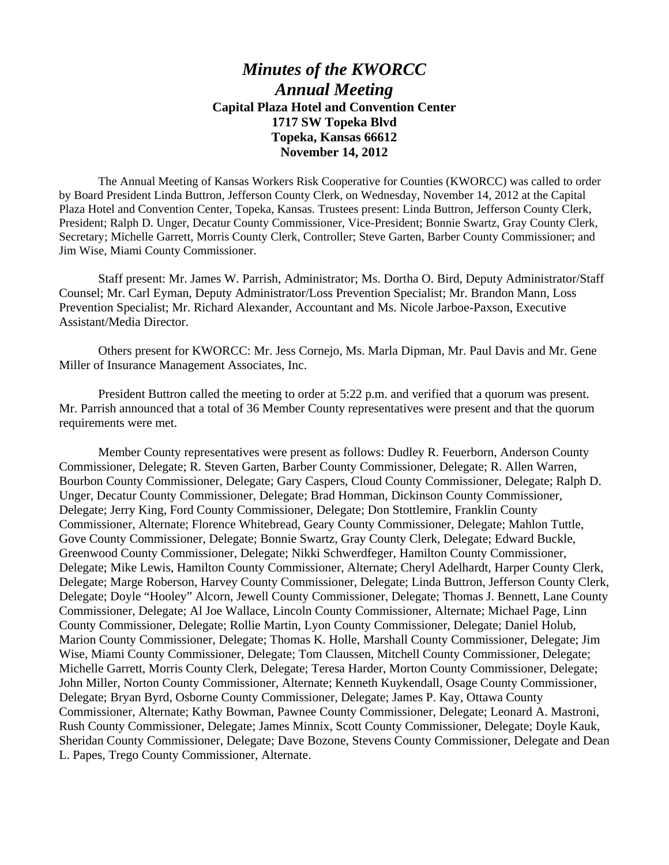## *Minutes of the KWORCC Annual Meeting* **Capital Plaza Hotel and Convention Center 1717 SW Topeka Blvd Topeka, Kansas 66612 November 14, 2012**

 The Annual Meeting of Kansas Workers Risk Cooperative for Counties (KWORCC) was called to order by Board President Linda Buttron, Jefferson County Clerk, on Wednesday, November 14, 2012 at the Capital Plaza Hotel and Convention Center, Topeka, Kansas. Trustees present: Linda Buttron, Jefferson County Clerk, President; Ralph D. Unger, Decatur County Commissioner, Vice-President; Bonnie Swartz, Gray County Clerk, Secretary; Michelle Garrett, Morris County Clerk, Controller; Steve Garten, Barber County Commissioner; and Jim Wise, Miami County Commissioner.

 Staff present: Mr. James W. Parrish, Administrator; Ms. Dortha O. Bird, Deputy Administrator/Staff Counsel; Mr. Carl Eyman, Deputy Administrator/Loss Prevention Specialist; Mr. Brandon Mann, Loss Prevention Specialist; Mr. Richard Alexander, Accountant and Ms. Nicole Jarboe-Paxson, Executive Assistant/Media Director.

 Others present for KWORCC: Mr. Jess Cornejo, Ms. Marla Dipman, Mr. Paul Davis and Mr. Gene Miller of Insurance Management Associates, Inc.

 President Buttron called the meeting to order at 5:22 p.m. and verified that a quorum was present. Mr. Parrish announced that a total of 36 Member County representatives were present and that the quorum requirements were met.

 Member County representatives were present as follows: Dudley R. Feuerborn, Anderson County Commissioner, Delegate; R. Steven Garten, Barber County Commissioner, Delegate; R. Allen Warren, Bourbon County Commissioner, Delegate; Gary Caspers, Cloud County Commissioner, Delegate; Ralph D. Unger, Decatur County Commissioner, Delegate; Brad Homman, Dickinson County Commissioner, Delegate; Jerry King, Ford County Commissioner, Delegate; Don Stottlemire, Franklin County Commissioner, Alternate; Florence Whitebread, Geary County Commissioner, Delegate; Mahlon Tuttle, Gove County Commissioner, Delegate; Bonnie Swartz, Gray County Clerk, Delegate; Edward Buckle, Greenwood County Commissioner, Delegate; Nikki Schwerdfeger, Hamilton County Commissioner, Delegate; Mike Lewis, Hamilton County Commissioner, Alternate; Cheryl Adelhardt, Harper County Clerk, Delegate; Marge Roberson, Harvey County Commissioner, Delegate; Linda Buttron, Jefferson County Clerk, Delegate; Doyle "Hooley" Alcorn, Jewell County Commissioner, Delegate; Thomas J. Bennett, Lane County Commissioner, Delegate; Al Joe Wallace, Lincoln County Commissioner, Alternate; Michael Page, Linn County Commissioner, Delegate; Rollie Martin, Lyon County Commissioner, Delegate; Daniel Holub, Marion County Commissioner, Delegate; Thomas K. Holle, Marshall County Commissioner, Delegate; Jim Wise, Miami County Commissioner, Delegate; Tom Claussen, Mitchell County Commissioner, Delegate; Michelle Garrett, Morris County Clerk, Delegate; Teresa Harder, Morton County Commissioner, Delegate; John Miller, Norton County Commissioner, Alternate; Kenneth Kuykendall, Osage County Commissioner, Delegate; Bryan Byrd, Osborne County Commissioner, Delegate; James P. Kay, Ottawa County Commissioner, Alternate; Kathy Bowman, Pawnee County Commissioner, Delegate; Leonard A. Mastroni, Rush County Commissioner, Delegate; James Minnix, Scott County Commissioner, Delegate; Doyle Kauk, Sheridan County Commissioner, Delegate; Dave Bozone, Stevens County Commissioner, Delegate and Dean L. Papes, Trego County Commissioner, Alternate.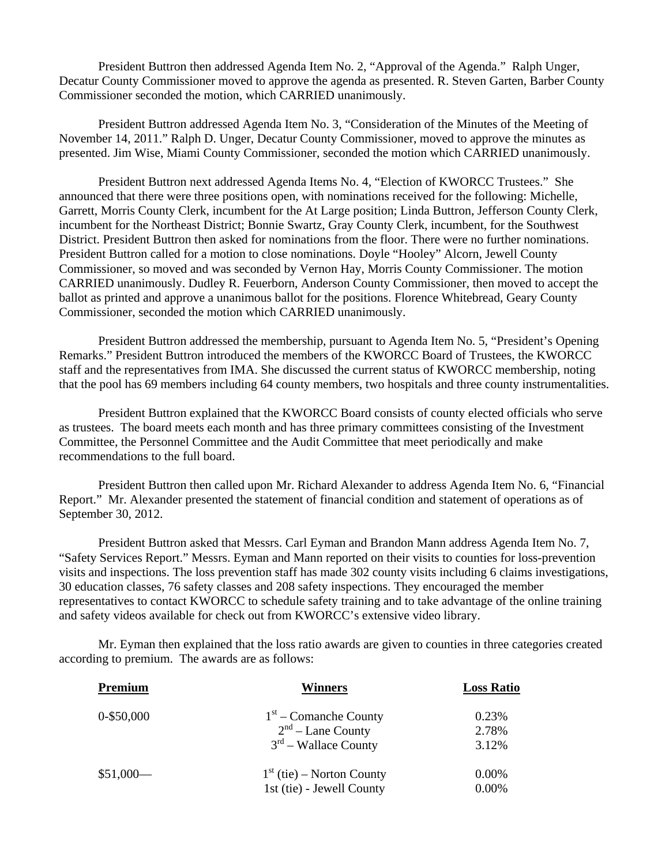President Buttron then addressed Agenda Item No. 2, "Approval of the Agenda." Ralph Unger, Decatur County Commissioner moved to approve the agenda as presented. R. Steven Garten, Barber County Commissioner seconded the motion, which CARRIED unanimously.

 President Buttron addressed Agenda Item No. 3, "Consideration of the Minutes of the Meeting of November 14, 2011." Ralph D. Unger, Decatur County Commissioner, moved to approve the minutes as presented. Jim Wise, Miami County Commissioner, seconded the motion which CARRIED unanimously.

 President Buttron next addressed Agenda Items No. 4, "Election of KWORCC Trustees." She announced that there were three positions open, with nominations received for the following: Michelle, Garrett, Morris County Clerk, incumbent for the At Large position; Linda Buttron, Jefferson County Clerk, incumbent for the Northeast District; Bonnie Swartz, Gray County Clerk, incumbent, for the Southwest District. President Buttron then asked for nominations from the floor. There were no further nominations. President Buttron called for a motion to close nominations. Doyle "Hooley" Alcorn, Jewell County Commissioner, so moved and was seconded by Vernon Hay, Morris County Commissioner. The motion CARRIED unanimously. Dudley R. Feuerborn, Anderson County Commissioner, then moved to accept the ballot as printed and approve a unanimous ballot for the positions. Florence Whitebread, Geary County Commissioner, seconded the motion which CARRIED unanimously.

 President Buttron addressed the membership, pursuant to Agenda Item No. 5, "President's Opening Remarks." President Buttron introduced the members of the KWORCC Board of Trustees, the KWORCC staff and the representatives from IMA. She discussed the current status of KWORCC membership, noting that the pool has 69 members including 64 county members, two hospitals and three county instrumentalities.

 President Buttron explained that the KWORCC Board consists of county elected officials who serve as trustees. The board meets each month and has three primary committees consisting of the Investment Committee, the Personnel Committee and the Audit Committee that meet periodically and make recommendations to the full board.

 President Buttron then called upon Mr. Richard Alexander to address Agenda Item No. 6, "Financial Report." Mr. Alexander presented the statement of financial condition and statement of operations as of September 30, 2012.

 President Buttron asked that Messrs. Carl Eyman and Brandon Mann address Agenda Item No. 7, "Safety Services Report." Messrs. Eyman and Mann reported on their visits to counties for loss-prevention visits and inspections. The loss prevention staff has made 302 county visits including 6 claims investigations, 30 education classes, 76 safety classes and 208 safety inspections. They encouraged the member representatives to contact KWORCC to schedule safety training and to take advantage of the online training and safety videos available for check out from KWORCC's extensive video library.

 Mr. Eyman then explained that the loss ratio awards are given to counties in three categories created according to premium. The awards are as follows:

| Premium       | <b>Winners</b>              | <b>Loss Ratio</b> |
|---------------|-----------------------------|-------------------|
| $0 - $50,000$ | $1st$ – Comanche County     | 0.23%             |
|               | $2nd$ – Lane County         | 2.78%             |
|               | $3rd$ – Wallace County      | 3.12%             |
| $$51,000-$    | $1st$ (tie) – Norton County | 0.00%             |
|               | 1st (tie) - Jewell County   | 0.00%             |